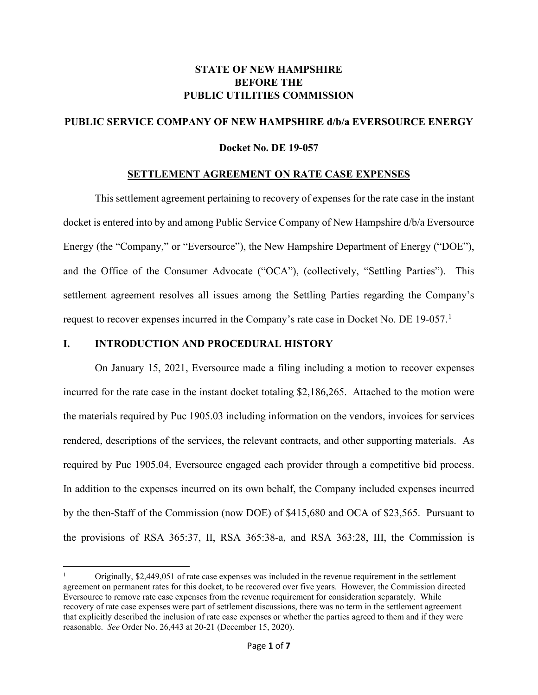# **STATE OF NEW HAMPSHIRE BEFORE THE PUBLIC UTILITIES COMMISSION**

## **PUBLIC SERVICE COMPANY OF NEW HAMPSHIRE d/b/a EVERSOURCE ENERGY**

#### **Docket No. DE 19-057**

#### **SETTLEMENT AGREEMENT ON RATE CASE EXPENSES**

This settlement agreement pertaining to recovery of expenses for the rate case in the instant docket is entered into by and among Public Service Company of New Hampshire d/b/a Eversource Energy (the "Company," or "Eversource"), the New Hampshire Department of Energy ("DOE"), and the Office of the Consumer Advocate ("OCA"), (collectively, "Settling Parties"). This settlement agreement resolves all issues among the Settling Parties regarding the Company's request to recover expenses incurred in the Company's rate case in Docket No. DE [1](#page-0-0)9-057.<sup>1</sup>

### **I. INTRODUCTION AND PROCEDURAL HISTORY**

On January 15, 2021, Eversource made a filing including a motion to recover expenses incurred for the rate case in the instant docket totaling \$2,186,265. Attached to the motion were the materials required by Puc 1905.03 including information on the vendors, invoices for services rendered, descriptions of the services, the relevant contracts, and other supporting materials. As required by Puc 1905.04, Eversource engaged each provider through a competitive bid process. In addition to the expenses incurred on its own behalf, the Company included expenses incurred by the then-Staff of the Commission (now DOE) of \$415,680 and OCA of \$23,565. Pursuant to the provisions of RSA 365:37, II, RSA 365:38-a, and RSA 363:28, III, the Commission is

<span id="page-0-0"></span><sup>1</sup> Originally, \$2,449,051 of rate case expenses was included in the revenue requirement in the settlement agreement on permanent rates for this docket, to be recovered over five years. However, the Commission directed Eversource to remove rate case expenses from the revenue requirement for consideration separately. While recovery of rate case expenses were part of settlement discussions, there was no term in the settlement agreement that explicitly described the inclusion of rate case expenses or whether the parties agreed to them and if they were reasonable. *See* Order No. 26,443 at 20-21 (December 15, 2020).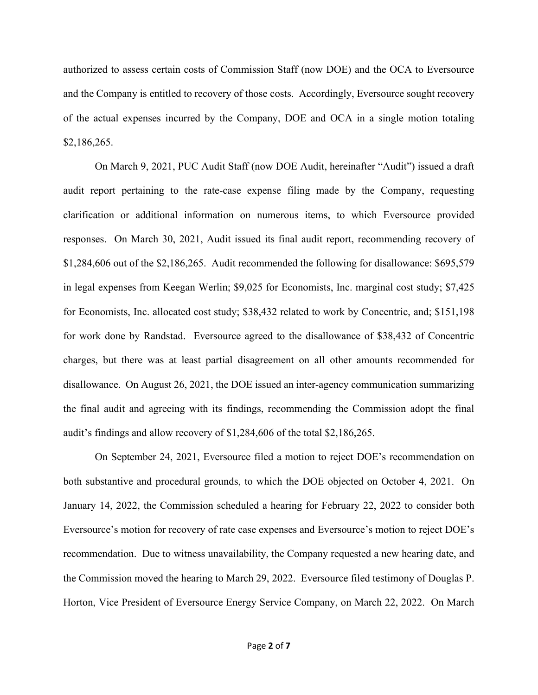authorized to assess certain costs of Commission Staff (now DOE) and the OCA to Eversource and the Company is entitled to recovery of those costs. Accordingly, Eversource sought recovery of the actual expenses incurred by the Company, DOE and OCA in a single motion totaling \$2,186,265.

On March 9, 2021, PUC Audit Staff (now DOE Audit, hereinafter "Audit") issued a draft audit report pertaining to the rate-case expense filing made by the Company, requesting clarification or additional information on numerous items, to which Eversource provided responses. On March 30, 2021, Audit issued its final audit report, recommending recovery of \$1,284,606 out of the \$2,186,265. Audit recommended the following for disallowance: \$695,579 in legal expenses from Keegan Werlin; \$9,025 for Economists, Inc. marginal cost study; \$7,425 for Economists, Inc. allocated cost study; \$38,432 related to work by Concentric, and; \$151,198 for work done by Randstad. Eversource agreed to the disallowance of \$38,432 of Concentric charges, but there was at least partial disagreement on all other amounts recommended for disallowance. On August 26, 2021, the DOE issued an inter-agency communication summarizing the final audit and agreeing with its findings, recommending the Commission adopt the final audit's findings and allow recovery of \$1,284,606 of the total \$2,186,265.

On September 24, 2021, Eversource filed a motion to reject DOE's recommendation on both substantive and procedural grounds, to which the DOE objected on October 4, 2021. On January 14, 2022, the Commission scheduled a hearing for February 22, 2022 to consider both Eversource's motion for recovery of rate case expenses and Eversource's motion to reject DOE's recommendation. Due to witness unavailability, the Company requested a new hearing date, and the Commission moved the hearing to March 29, 2022. Eversource filed testimony of Douglas P. Horton, Vice President of Eversource Energy Service Company, on March 22, 2022. On March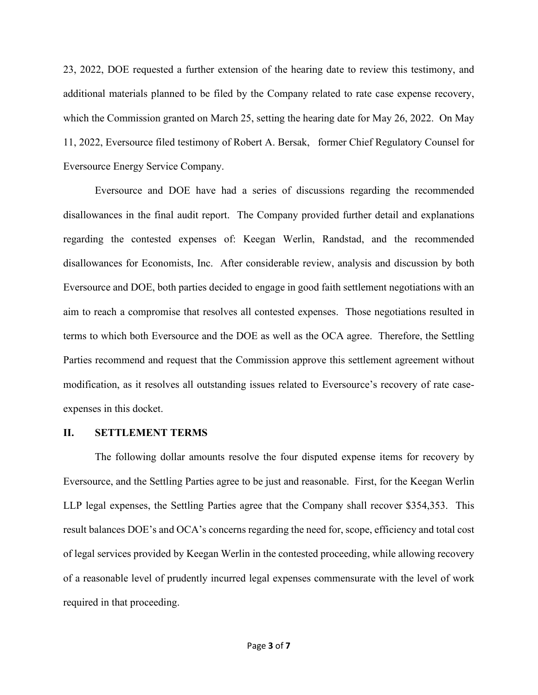23, 2022, DOE requested a further extension of the hearing date to review this testimony, and additional materials planned to be filed by the Company related to rate case expense recovery, which the Commission granted on March 25, setting the hearing date for May 26, 2022. On May 11, 2022, Eversource filed testimony of Robert A. Bersak, former Chief Regulatory Counsel for Eversource Energy Service Company.

Eversource and DOE have had a series of discussions regarding the recommended disallowances in the final audit report. The Company provided further detail and explanations regarding the contested expenses of: Keegan Werlin, Randstad, and the recommended disallowances for Economists, Inc. After considerable review, analysis and discussion by both Eversource and DOE, both parties decided to engage in good faith settlement negotiations with an aim to reach a compromise that resolves all contested expenses. Those negotiations resulted in terms to which both Eversource and the DOE as well as the OCA agree. Therefore, the Settling Parties recommend and request that the Commission approve this settlement agreement without modification, as it resolves all outstanding issues related to Eversource's recovery of rate caseexpenses in this docket.

#### **II. SETTLEMENT TERMS**

The following dollar amounts resolve the four disputed expense items for recovery by Eversource, and the Settling Parties agree to be just and reasonable. First, for the Keegan Werlin LLP legal expenses, the Settling Parties agree that the Company shall recover \$354,353. This result balances DOE's and OCA's concerns regarding the need for, scope, efficiency and total cost of legal services provided by Keegan Werlin in the contested proceeding, while allowing recovery of a reasonable level of prudently incurred legal expenses commensurate with the level of work required in that proceeding.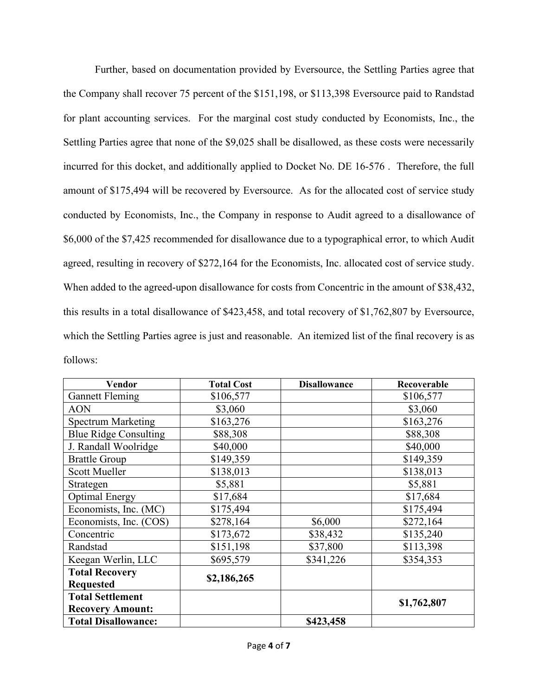Further, based on documentation provided by Eversource, the Settling Parties agree that the Company shall recover 75 percent of the \$151,198, or \$113,398 Eversource paid to Randstad for plant accounting services. For the marginal cost study conducted by Economists, Inc., the Settling Parties agree that none of the \$9,025 shall be disallowed, as these costs were necessarily incurred for this docket, and additionally applied to Docket No. DE 16-576 . Therefore, the full amount of \$175,494 will be recovered by Eversource. As for the allocated cost of service study conducted by Economists, Inc., the Company in response to Audit agreed to a disallowance of \$6,000 of the \$7,425 recommended for disallowance due to a typographical error, to which Audit agreed, resulting in recovery of \$272,164 for the Economists, Inc. allocated cost of service study. When added to the agreed-upon disallowance for costs from Concentric in the amount of \$38,432, this results in a total disallowance of \$423,458, and total recovery of \$1,762,807 by Eversource, which the Settling Parties agree is just and reasonable. An itemized list of the final recovery is as follows:

| Vendor                       | <b>Total Cost</b> | <b>Disallowance</b> | Recoverable |
|------------------------------|-------------------|---------------------|-------------|
| <b>Gannett Fleming</b>       | \$106,577         |                     | \$106,577   |
| <b>AON</b>                   | \$3,060           |                     | \$3,060     |
| <b>Spectrum Marketing</b>    | \$163,276         |                     | \$163,276   |
| <b>Blue Ridge Consulting</b> | \$88,308          |                     | \$88,308    |
| J. Randall Woolridge         | \$40,000          |                     | \$40,000    |
| <b>Brattle Group</b>         | \$149,359         |                     | \$149,359   |
| <b>Scott Mueller</b>         | \$138,013         |                     | \$138,013   |
| Strategen                    | \$5,881           |                     | \$5,881     |
| <b>Optimal Energy</b>        | \$17,684          |                     | \$17,684    |
| Economists, Inc. (MC)        | \$175,494         |                     | \$175,494   |
| Economists, Inc. (COS)       | \$278,164         | \$6,000             | \$272,164   |
| Concentric                   | \$173,672         | \$38,432            | \$135,240   |
| Randstad                     | \$151,198         | \$37,800            | \$113,398   |
| Keegan Werlin, LLC           | \$695,579         | \$341,226           | \$354,353   |
| <b>Total Recovery</b>        | \$2,186,265       |                     |             |
| <b>Requested</b>             |                   |                     |             |
| <b>Total Settlement</b>      |                   |                     | \$1,762,807 |
| <b>Recovery Amount:</b>      |                   |                     |             |
| <b>Total Disallowance:</b>   |                   | \$423,458           |             |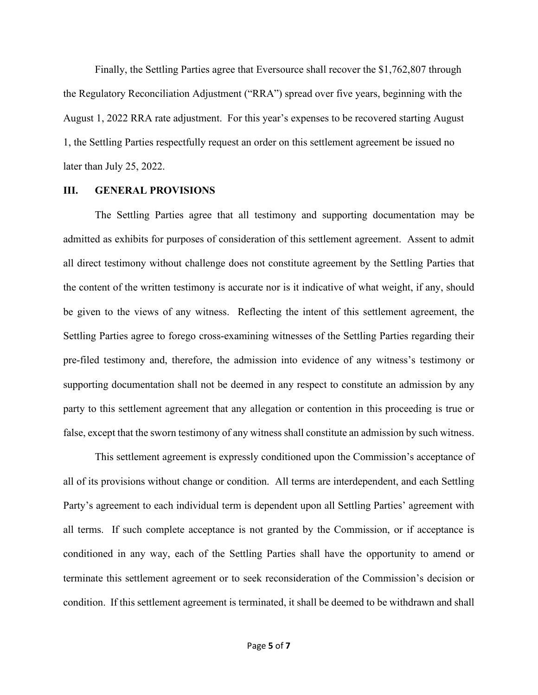Finally, the Settling Parties agree that Eversource shall recover the \$1,762,807 through the Regulatory Reconciliation Adjustment ("RRA") spread over five years, beginning with the August 1, 2022 RRA rate adjustment. For this year's expenses to be recovered starting August 1, the Settling Parties respectfully request an order on this settlement agreement be issued no later than July 25, 2022.

#### **III. GENERAL PROVISIONS**

The Settling Parties agree that all testimony and supporting documentation may be admitted as exhibits for purposes of consideration of this settlement agreement. Assent to admit all direct testimony without challenge does not constitute agreement by the Settling Parties that the content of the written testimony is accurate nor is it indicative of what weight, if any, should be given to the views of any witness. Reflecting the intent of this settlement agreement, the Settling Parties agree to forego cross-examining witnesses of the Settling Parties regarding their pre-filed testimony and, therefore, the admission into evidence of any witness's testimony or supporting documentation shall not be deemed in any respect to constitute an admission by any party to this settlement agreement that any allegation or contention in this proceeding is true or false, except that the sworn testimony of any witness shall constitute an admission by such witness.

This settlement agreement is expressly conditioned upon the Commission's acceptance of all of its provisions without change or condition. All terms are interdependent, and each Settling Party's agreement to each individual term is dependent upon all Settling Parties' agreement with all terms. If such complete acceptance is not granted by the Commission, or if acceptance is conditioned in any way, each of the Settling Parties shall have the opportunity to amend or terminate this settlement agreement or to seek reconsideration of the Commission's decision or condition. If this settlement agreement is terminated, it shall be deemed to be withdrawn and shall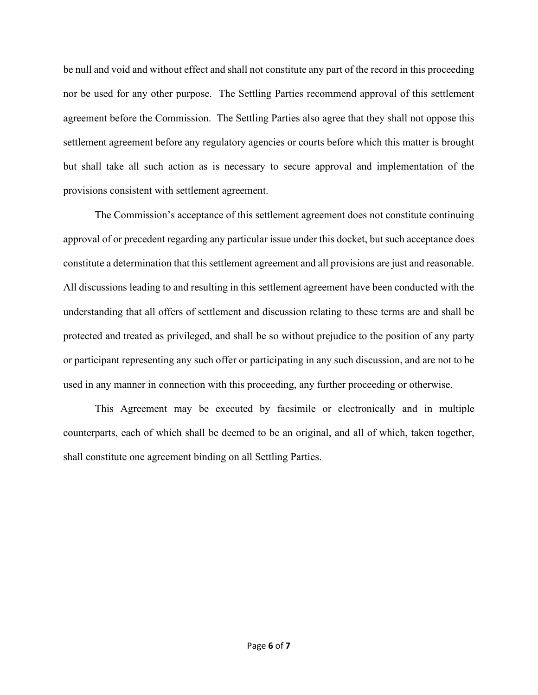be null and void and without effect and shall not constitute any part of the record in this proceeding nor be used for any other purpose. The Settling Parties recommend approval of this settlement agreement before the Commission. The Settling Parties also agree that they shall not oppose this settlement agreement before any regulatory agencies or courts before which this matter is brought but shall take all such action as is necessary to secure approval and implementation of the provisions consistent with settlement agreement.

The Commission's acceptance of this settlement agreement does not constitute continuing approval of or precedent regarding any particular issue under this docket, but such acceptance does constitute a determination that this settlement agreement and all provisions are just and reasonable. All discussions leading to and resulting in this settlement agreement have been conducted with the understanding that all offers of settlement and discussion relating to these terms are and shall be protected and treated as privileged, and shall be so without prejudice to the position of any party or participant representing any such offer or participating in any such discussion, and are not to be used in any manner in connection with this proceeding, any further proceeding or otherwise.

This Agreement may be executed by facsimile or electronically and in multiple counterparts, each of which shall be deemed to be an original, and all of which, taken together, shall constitute one agreement binding on all Settling Parties.